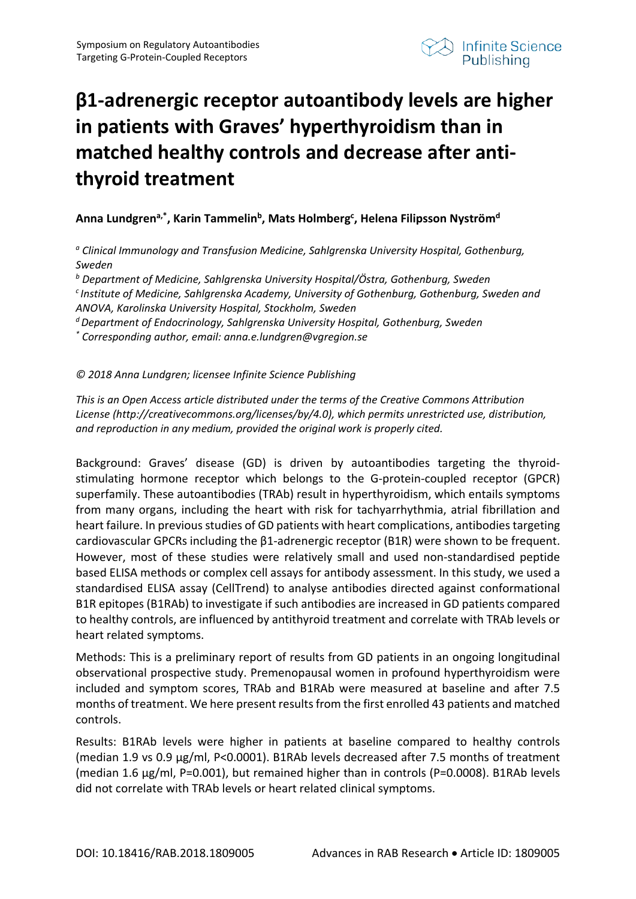

## **β1-adrenergic receptor autoantibody levels are higher in patients with Graves' hyperthyroidism than in matched healthy controls and decrease after antithyroid treatment**

## Anna Lundgren<sup>a,\*</sup>, Karin Tammelin<sup>b</sup>, Mats Holmberg<sup>c</sup>, Helena Filipsson Nyström<sup>d</sup>

*<sup>a</sup> Clinical Immunology and Transfusion Medicine, Sahlgrenska University Hospital, Gothenburg, Sweden*

*<sup>b</sup> Department of Medicine, Sahlgrenska University Hospital/Östra, Gothenburg, Sweden*

*c Institute of Medicine, Sahlgrenska Academy, University of Gothenburg, Gothenburg, Sweden and ANOVA, Karolinska University Hospital, Stockholm, Sweden*

*d Department of Endocrinology, Sahlgrenska University Hospital, Gothenburg, Sweden*

*\* Corresponding author, email: anna.e.lundgren@vgregion.se*

## *© 2018 Anna Lundgren; licensee Infinite Science Publishing*

*This is an Open Access article distributed under the terms of the Creative Commons Attribution License (http://creativecommons.org/licenses/by/4.0), which permits unrestricted use, distribution, and reproduction in any medium, provided the original work is properly cited.*

Background: Graves' disease (GD) is driven by autoantibodies targeting the thyroidstimulating hormone receptor which belongs to the G-protein-coupled receptor (GPCR) superfamily. These autoantibodies (TRAb) result in hyperthyroidism, which entails symptoms from many organs, including the heart with risk for tachyarrhythmia, atrial fibrillation and heart failure. In previous studies of GD patients with heart complications, antibodies targeting cardiovascular GPCRs including the β1-adrenergic receptor (B1R) were shown to be frequent. However, most of these studies were relatively small and used non-standardised peptide based ELISA methods or complex cell assays for antibody assessment. In this study, we used a standardised ELISA assay (CellTrend) to analyse antibodies directed against conformational B1R epitopes (B1RAb) to investigate if such antibodies are increased in GD patients compared to healthy controls, are influenced by antithyroid treatment and correlate with TRAb levels or heart related symptoms.

Methods: This is a preliminary report of results from GD patients in an ongoing longitudinal observational prospective study. Premenopausal women in profound hyperthyroidism were included and symptom scores, TRAb and B1RAb were measured at baseline and after 7.5 months of treatment. We here present results from the first enrolled 43 patients and matched controls.

Results: B1RAb levels were higher in patients at baseline compared to healthy controls (median 1.9 vs 0.9 µg/ml, P<0.0001). B1RAb levels decreased after 7.5 months of treatment (median 1.6 µg/ml, P=0.001), but remained higher than in controls (P=0.0008). B1RAb levels did not correlate with TRAb levels or heart related clinical symptoms.